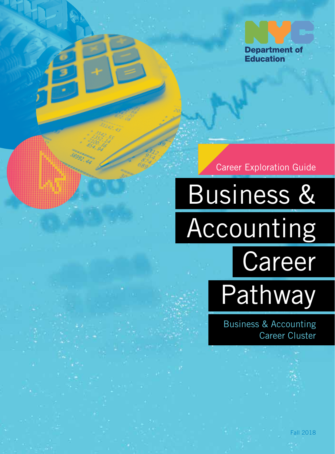

Career Exploration Guide

Business & Accounting Career **Pathway** 

> Business & Accounting Career Cluster

> > Fall 2018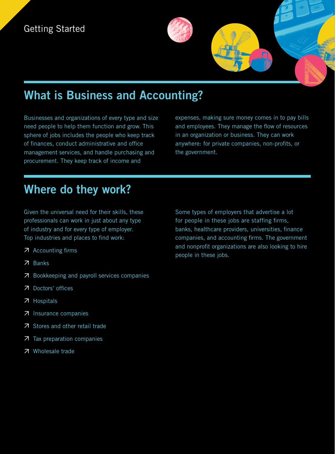## **What is Business and Accounting?**

Businesses and organizations of every type and size need people to help them function and grow. This sphere of jobs includes the people who keep track of finances, conduct administrative and office management services, and handle purchasing and procurement. They keep track of income and

expenses, making sure money comes in to pay bills and employees. They manage the flow of resources in an organization or business. They can work anywhere: for private companies, non-profits, or the government.

### **Where do they work?**

Given the universal need for their skills, these professionals can work in just about any type of industry and for every type of employer. Top industries and places to find work:

- Accounting firms
- **7** Banks
- **7** Bookkeeping and payroll services companies
- Doctors' offices
- Hospitals
- Insurance companies
- Stores and other retail trade
- **7** Tax preparation companies
- **7** Wholesale trade

Some types of employers that advertise a lot for people in these jobs are staffing firms, banks, healthcare providers, universities, finance companies, and accounting firms. The government and nonprofit organizations are also looking to hire people in these jobs.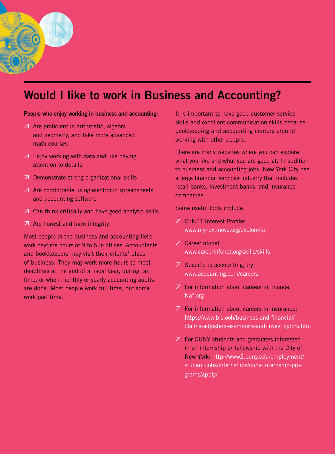### **Would I like to work in Business and Accounting?**

#### **People who enjoy working in business and accounting:**

- Are proficient in arithmetic, algebra, and geometry, and take more advanced math courses
- Enjoy working with data and like paying attention to details
- Demonstrate strong organizational skills
- Are comfortable using electronic spreadsheets and accounting software
- Can think critically and have good analytic skills
- $\overline{A}$  Are honest and have integrity

Most people in the business and accounting field work daytime hours of 9 to 5 in offices. Accountants and bookkeepers may visit their clients' place of business. They may work more hours to meet deadlines at the end of a fiscal year, during tax time, or when monthly or yearly accounting audits are done. Most people work full time, but some work part time.

It is important to have good customer service skills and excellent communication skills because bookkeeping and accounting centers around working with other people.

There are many websites where you can explore what you like and what you are good at. In addition to business and accounting jobs, New York City has a large financial services industry that includes retail banks, investment banks, and insurance companies.

Some useful tools include:

- **7** O\*NET Interest Profiler www.mynextmove.org/explore/ip
- Careerinfonet www.careerinfonet.org/skills/skills
- $\overline{z}$  Specific to accounting, try www.accounting.com/careers
- $\overline{z}$  For information about careers in finance: Naf.org
- For information about careers in insurance: https://www.bls.ooh/business-and-financial/ claims-adjusters-examiners-and-investigators.htm
- For CUNY students and graduates interested in an internship or fellowship with the City of New York: http://www2.cuny.edu/employment/ student-jobs/internships/cuny-internship-programs/apply/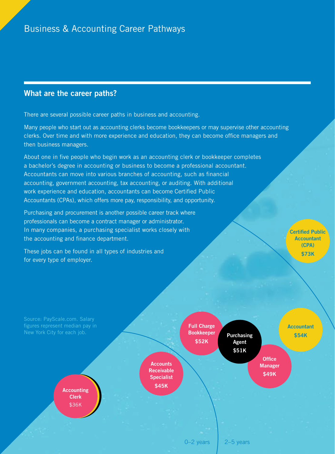### **What are the career paths?**

There are several possible career paths in business and accounting.

Many people who start out as accounting clerks become bookkeepers or may supervise other accounting clerks. Over time and with more experience and education, they can become office managers and then business managers.

About one in five people who begin work as an accounting clerk or bookkeeper completes a bachelor's degree in accounting or business to become a professional accountant. Accountants can move into various branches of accounting, such as financial accounting, government accounting, tax accounting, or auditing. With additional work experience and education, accountants can become Certified Public Accountants (CPAs), which offers more pay, responsibility, and opportunity.

Purchasing and procurement is another possible career track where professionals can become a contract manager or administrator. In many companies, a purchasing specialist works closely with the accounting and finance department.

These jobs can be found in all types of industries and for every type of employer.

**Certified Public Accountant (CPA) \$73K**

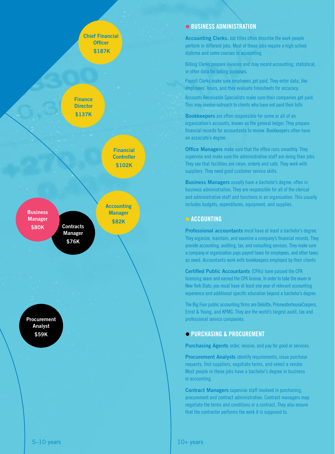

#### $\bullet$  **BUSINESS ADMINISTRATION**

**Accounting Clerks.** Job titles often describe the work people perform in different jobs. Most of these jobs require a high school diploma and some courses in accounting.

Billing Clerks prepare invoices and may record accounting, statistical, or other data for billing purposes.

Payroll Clerks make sure employees get paid. They enter data, like employees' hours, and they evaluate timesheets for accuracy.

Accounts Receivable Specialists make sure their companies get paid. This may involve outreach to clients who have not paid their bills

**Bookkeepers** are often responsible for some or all of an organization's accounts, known as the general ledger. They prepare financial records for accountants to review. Bookkeepers often have an associate's degree.

**Office Managers** make sure that the office runs smoothly. They supervise and make sure the administrative staff are doing their jobs. They see that facilities are clean, orderly and safe. They work with suppliers. They need good customer service skills.

**Business Managers** usually have a bachelor's degree, often in business administration. They are responsible for all of the clerical and administrative staff and functions in an organization. This usually includes budgets, expenditures, equipment, and supplies.

#### **ACCOUNTING**

**Professional accountants** must have at least a bachelor's degree. They organize, maintain, and examine a company's financial records. They provide accounting, auditing, tax, and consulting services. They make sure a company or organization pays payroll taxes for employees, and other taxes as owed. Accountants work with bookkeepers employed by their clients

**Certified Public Accountants** (CPAs) have passed the CPA licensing exam and earned the CPA license. In order to take the exam in New York State, you must have at least one year of relevant accounting experience and additional specific education beyond a bachelor's degree.

The Big Four public accounting firms are Deloitte, PricewaterhouseCoopers, Ernst & Young, and KPMG. They are the world's largest audit, tax and professional service companies.

#### **PURCHASING & PROCUREMENT**

**Purchasing Agents** order, receive, and pay for good or services.

**Procurement Analysts** identify requirements, issue purchase requests, find suppliers, negotiate terms, and select a vendor. Most people in these jobs have a bachelor's degree in business or accounting.

**Contract Managers** supervise staff involved in purchasing, procurement and contract administration. Contract managers may negotiate the terms and conditions or a contract. They also ensure that the contractor performs the work it is supposed to.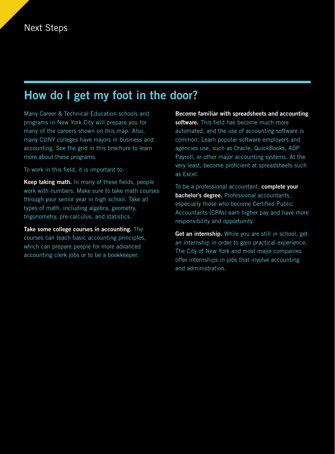### **How do I get my foot in the door?**

Many Career & Technical Education schools and programs in New York City will prepare you for many of the careers shown on this map. Also, many CUNY colleges have majors in business and accounting. See the grid in this brochure to learn more about these programs.

To work in this field, it is important to:

**Keep taking math.** In many of these fields, people work with numbers. Make sure to take math courses through your senior year in high school. Take all types of math, including algebra, geometry, trigonometry, pre-calculus, and statistics.

**Take some college courses in accounting.** The courses can teach basic accounting principles, which can prepare people for more advanced accounting clerk jobs or to be a bookkeeper.

**Become familiar with spreadsheets and accounting software.** This field has become much more automated, and the use of accounting software is common. Learn popular software employers and agencies use, such as Oracle, QuickBooks, ADP Payroll, or other major accounting systems. At the very least, become proficient at spreadsheets such as Excel.

To be a professional accountant, **complete your bachelor's degree.** Professional accountants, especially those who become Certified Public Accountants (CPAs) earn higher pay and have more responsibility and opportunity.

**Get an internship.** While you are still in school, get an internship in order to gain practical experience. The City of New York and most major companies offer internships in jobs that involve accounting and administration.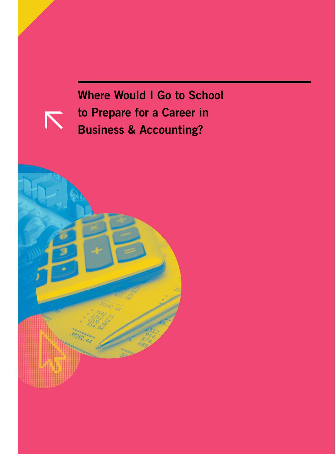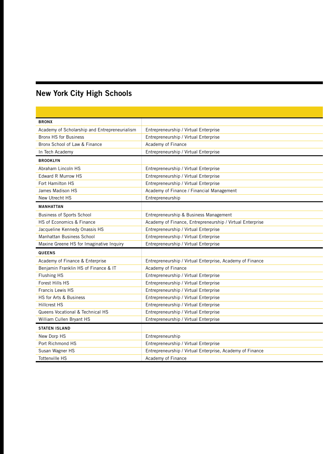## **New York City High Schools**

| <b>BRONX</b>                                  |                                                           |  |  |
|-----------------------------------------------|-----------------------------------------------------------|--|--|
| Academy of Scholarship and Entrepreneurialism | Entrepreneurship / Virtual Enterprise                     |  |  |
| <b>Bronx HS for Business</b>                  | Entrepreneurship / Virtual Enterprise                     |  |  |
| Bronx School of Law & Finance                 | Academy of Finance                                        |  |  |
| In Tech Academy                               | Entrepreneurship / Virtual Enterprise                     |  |  |
| <b>BROOKLYN</b>                               |                                                           |  |  |
| Abraham Lincoln HS                            | Entrepreneurship / Virtual Enterprise                     |  |  |
| Edward R Murrow HS                            | Entrepreneurship / Virtual Enterprise                     |  |  |
| Fort Hamilton HS                              | Entrepreneurship / Virtual Enterprise                     |  |  |
| James Madison HS                              | Academy of Finance / Financial Management                 |  |  |
| New Utrecht HS                                | Entrepreneurship                                          |  |  |
| <b>MANHATTAN</b>                              |                                                           |  |  |
| <b>Business of Sports School</b>              | Entrepreneurship & Business Management                    |  |  |
| HS of Economics & Finance                     | Academy of Finance, Entrepreneurship / Virtual Enterprise |  |  |
| Jacqueline Kennedy Onassis HS                 | Entrepreneurship / Virtual Enterprise                     |  |  |
| Manhattan Business School                     | Entrepreneurship / Virtual Enterprise                     |  |  |
| Maxine Greene HS for Imaginative Inquiry      | Entrepreneurship / Virtual Enterprise                     |  |  |
| <b>QUEENS</b>                                 |                                                           |  |  |
| Academy of Finance & Enterprise               | Entrepreneurship / Virtual Enterprise, Academy of Finance |  |  |
| Benjamin Franklin HS of Finance & IT          | Academy of Finance                                        |  |  |
| <b>Flushing HS</b>                            | Entrepreneurship / Virtual Enterprise                     |  |  |
| Forest Hills HS                               | Entrepreneurship / Virtual Enterprise                     |  |  |
| Francis Lewis HS                              | Entrepreneurship / Virtual Enterprise                     |  |  |
| HS for Arts & Business                        | Entrepreneurship / Virtual Enterprise                     |  |  |
|                                               |                                                           |  |  |
| <b>Hillcrest HS</b>                           | Entrepreneurship / Virtual Enterprise                     |  |  |
| Queens Vocational & Technical HS              | Entrepreneurship / Virtual Enterprise                     |  |  |
| William Cullen Bryant HS                      | Entrepreneurship / Virtual Enterprise                     |  |  |
| <b>STATEN ISLAND</b>                          |                                                           |  |  |
| New Dorp HS                                   | Entrepreneurship                                          |  |  |
| Port Richmond HS                              | Entrepreneurship / Virtual Enterprise                     |  |  |
| Susan Wagner HS                               | Entrepreneurship / Virtual Enterprise, Academy of Finance |  |  |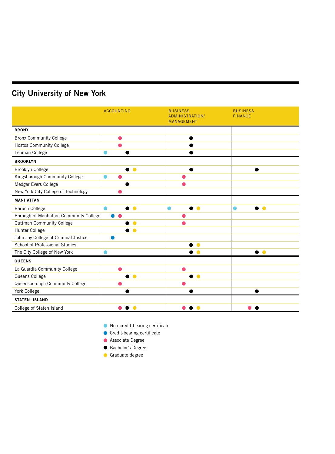### **City University of New York**

|                                        | <b>ACCOUNTING</b>      | <b>BUSINESS</b><br>ADMINISTRATION/<br><b>MANAGEMENT</b> | <b>BUSINESS</b><br><b>FINANCE</b> |
|----------------------------------------|------------------------|---------------------------------------------------------|-----------------------------------|
| <b>BRONX</b>                           |                        |                                                         |                                   |
| <b>Bronx Community College</b>         |                        |                                                         |                                   |
| <b>Hostos Community College</b>        |                        |                                                         |                                   |
| Lehman College                         |                        |                                                         |                                   |
| <b>BROOKLYN</b>                        |                        |                                                         |                                   |
| <b>Brooklyn College</b>                | ∙                      |                                                         |                                   |
| Kingsborough Community College         | ●                      |                                                         |                                   |
| Medgar Evers College                   |                        |                                                         |                                   |
| New York City College of Technology    |                        |                                                         |                                   |
| <b>MANHATTAN</b>                       |                        |                                                         |                                   |
| <b>Baruch College</b>                  | $\bullet$              | $\bullet$<br>●                                          | $\bullet$                         |
| Borough of Manhattan Community College |                        |                                                         |                                   |
| <b>Guttman Community College</b>       |                        |                                                         |                                   |
| Hunter College                         |                        |                                                         |                                   |
| John Jay College of Criminal Justice   |                        |                                                         |                                   |
| School of Professional Studies         |                        | $\bullet$                                               |                                   |
| The City College of New York           |                        |                                                         | $\bullet$ $\bullet$               |
| <b>QUEENS</b>                          |                        |                                                         |                                   |
| La Guardia Community College           |                        |                                                         |                                   |
| Queens College                         | $\bullet$              | $\bullet$<br>●                                          |                                   |
| Queensborough Community College        |                        |                                                         |                                   |
| York College                           |                        |                                                         |                                   |
| <b>STATEN ISLAND</b>                   |                        |                                                         |                                   |
| College of Staten Island               | $\bullet$<br>$\bullet$ |                                                         |                                   |

Non-credit-bearing certificate

 $\bullet$  Credit-bearing certificate

- **Associate Degree**
- Bachelor's Degree
- Graduate degree